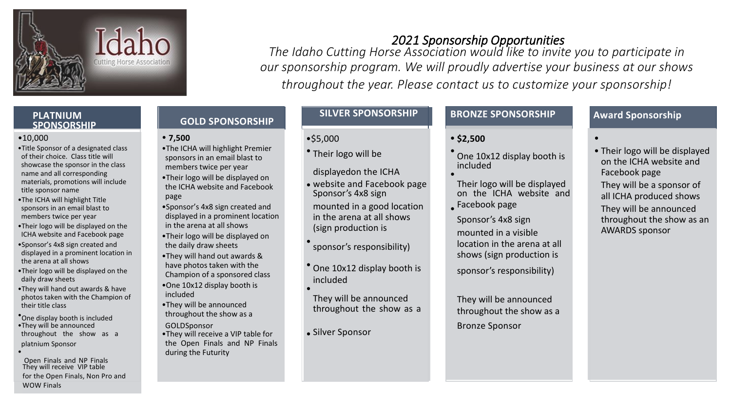

# utting Horse Association

## *2021 Sponsorship Opportunities*

*The Idaho Cutting Horse Association would like to invite you to participate in our sponsorship program. We will proudly advertise your business at our shows throughout the year. Please contact us to customize your sponsorship!*

## **PLATNIUM SPONSORSHIP**

### •10,000

- •Title Sponsor of a designated class of their choice. Class title will showcase the sponsor in the class name and all corresponding materials, promotions will include title sponsor name
- •The ICHA will highlight Title sponsors in an email blast to members twice per year
- •Their logo will be displayed on the ICHA website and Facebook page
- •Sponsor's 4x8 sign created and displayed in a prominent location in the arena at all shows
- •Their logo will be displayed on the daily draw sheets
- •They will hand out awards & have photos taken with the Champion of their title class
- •One display booth is included •They will be announced throughout the show as a platnium Sponsor

• They will receive VIP table Open Finals and NP Finals for the Open Finals, Non Pro and WOW Finals

## **GOLD SPONSORSHIP Award Sponsorship**

•The ICHA will highlight Premier sponsors in an email blast to members twice per year •Their logo will be displayed on the ICHA website and Facebook

•Sponsor's 4x8 sign created and displayed in a prominent location

in the arena at all shows •Their logo will be displayed on

•They will hand out awards & have photos taken with the Champion of a sponsored class •One 10x12 display booth is

the daily draw sheets

•They will be announced throughout the show as a

•They will receive a VIP table for the Open Finals and NP Finals

• **7,500**

page

included

GOLDSponsor

during the Futurity

## •\$5,000

• Their logo will be

displayedon the ICHA

• website and Facebook page Sponsor's 4x8 sign

**SILVER SPONSORSHIP**

mounted in a good location in the arena at all shows (sign production is

- sponsor's responsibility) •
- One 10x12 display booth is included •

They will be announced throughout the show as a

• Silver Sponsor

## • **\$2,500**

• One 10x12 display booth is included

**BRONZE SPONSORSHIP**

• Their logo will be displayed on the ICHA website and Facebook page •

Sponsor's 4x8 sign mounted in a visible location in the arena at all shows (sign production is

sponsor's responsibility)

They will be announced throughout the show as a Bronze Sponsor

- •
- Their logo will be displayed on the ICHA website and Facebook page They will be a sponsor of all ICHA produced shows They will be announced throughout the show as an AWARDS sponsor